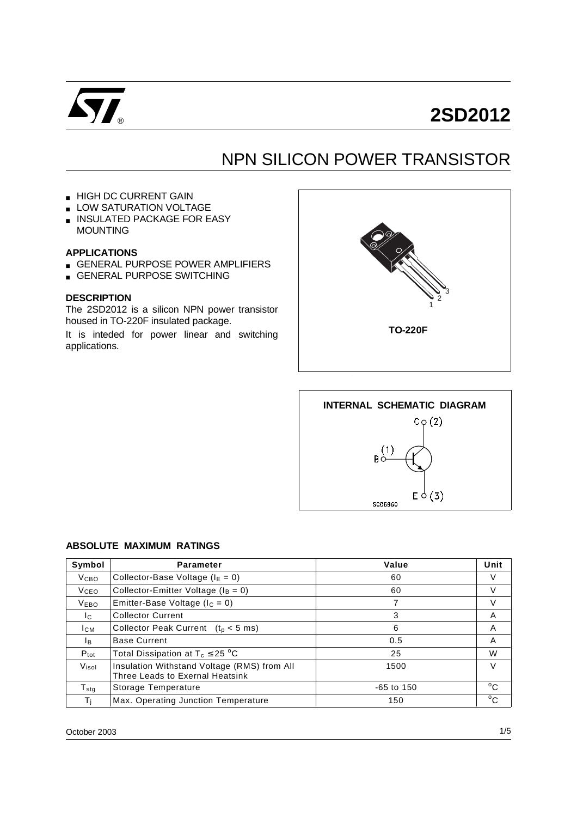

# **2SD2012**

## NPN SILICON POWER TRANSISTOR

- HIGH DC CURRENT GAIN
- LOW SATURATION VOLTAGE
- INSULATED PACKAGE FOR EASY MOUNTING

#### **APPLICATIONS**

- GENERAL PURPOSE POWER AMPLIFIERS
- GENERAL PURPOSE SWITCHING

#### **DESCRIPTION**

The 2SD2012 is a silicon NPN power transistor housed in TO-220F insulated package.

It is inteded for power linear and switching applications.





#### **ABSOLUTE MAXIMUM RATINGS**

| Symbol           | <b>Parameter</b>                                                               | Value        | Unit         |
|------------------|--------------------------------------------------------------------------------|--------------|--------------|
| <b>V</b> сво     | Collector-Base Voltage ( $I_E = 0$ )                                           | 60           | V            |
| <b>V</b> ceo     | Collector-Emitter Voltage ( $I_B = 0$ )                                        | 60           | V            |
| <b>VEBO</b>      | Emitter-Base Voltage ( $I_c = 0$ )                                             | 7            | V            |
| Ic.              | <b>Collector Current</b>                                                       | 3            | A            |
| Iсм              | Collector Peak Current $(t_p < 5$ ms)                                          | 6            | A            |
| Iв.              | <b>Base Current</b>                                                            | 0.5          | A            |
| $P_{\text{tot}}$ | Total Dissipation at $T_c \leq 25$ °C                                          | 25           | W            |
| Visol            | Insulation Withstand Voltage (RMS) from All<br>Three Leads to Exernal Heatsink | 1500         | V            |
| $T_{\rm stg}$    | Storage Temperature                                                            | $-65$ to 150 | $^{\circ}$ C |
| Ti               | Max. Operating Junction Temperature                                            | 150          | $^{\circ}$ C |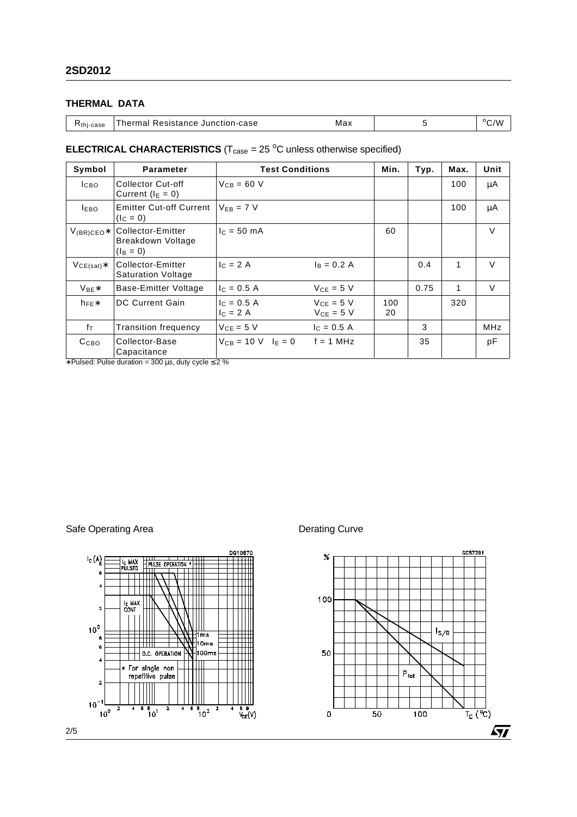## **THERMAL DATA**

|  | K <sub>thj-case</sub> | Thermal Resistance Junction-case | Max |  | $\Lambda$<br>$\sigma$<br>$\cup$ /V |
|--|-----------------------|----------------------------------|-----|--|------------------------------------|
|--|-----------------------|----------------------------------|-----|--|------------------------------------|

## **ELECTRICAL CHARACTERISTICS** ( $T_{\text{case}} = 25 \text{ °C}$  unless otherwise specified)

| Symbol           | <b>Parameter</b>                                             | <b>Test Conditions</b>    |                                  | Min.      | Typ. | Max. | Unit       |
|------------------|--------------------------------------------------------------|---------------------------|----------------------------------|-----------|------|------|------------|
| Ісво             | <b>Collector Cut-off</b><br>Current ( $I_E = 0$ )            | $V_{CB} = 60 V$           |                                  |           |      | 100  | μA         |
| <b>LEBO</b>      | <b>Emitter Cut-off Current</b><br>$(lC = 0)$                 | $V_{FB}$ = 7 V            |                                  |           |      | 100  | μA         |
| $V_{(BR)CEO*}$   | Collector-Emitter<br><b>Breakdown Voltage</b><br>$(I_B = 0)$ | $I_c = 50$ mA             |                                  | 60        |      |      | $\vee$     |
| $VCE(sat)*$      | Collector-Emitter<br><b>Saturation Voltage</b>               | $IC = 2 A$                | $I_B = 0.2 A$                    |           | 0.4  | 1    | $\vee$     |
| $V_{BF}$ *       | Base-Emitter Voltage                                         | $c = 0.5 A$               | $VCF = 5 V$                      |           | 0.75 | 1    | $\vee$     |
| $h_{FE}$         | DC Current Gain                                              | $c = 0.5 A$<br>$c = 2A$   | $V_{CE} = 5 V$<br>$V_{CE} = 5 V$ | 100<br>20 |      | 320  |            |
| fτ               | <b>Transition frequency</b>                                  | $V_{CE} = 5 V$            | $c = 0.5 A$                      |           | 3    |      | <b>MHz</b> |
| C <sub>CBO</sub> | Collector-Base<br>Capacitance                                | $V_{CB} = 10 V$ $I_F = 0$ | $f = 1$ MHz                      |           | 35   |      | pF         |

∗ Pulsed: Pulse duration = 300 µs, duty cycle ≤ 2 %

Safe Operating Area **Derating Curve** Derating Curve



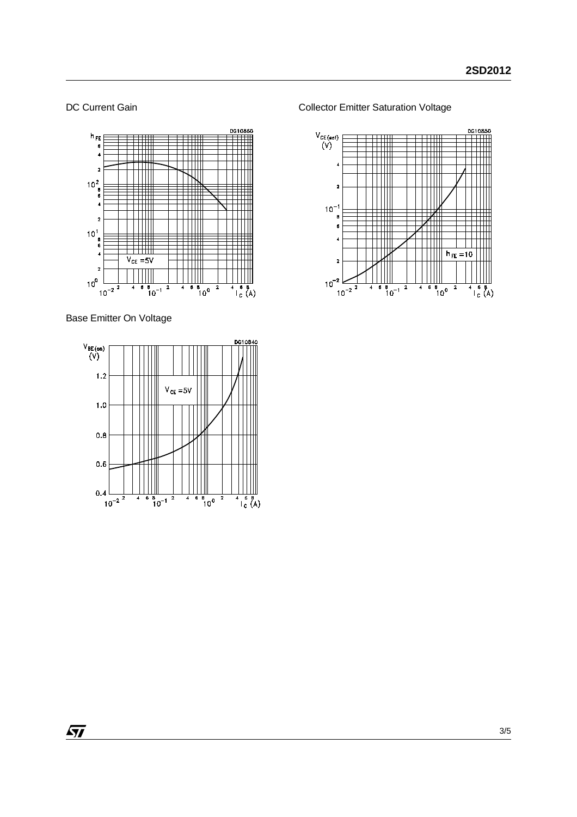### DC Current Gain



Base Emitter On Voltage



Collector Emitter Saturation Voltage



 $\sqrt{27}$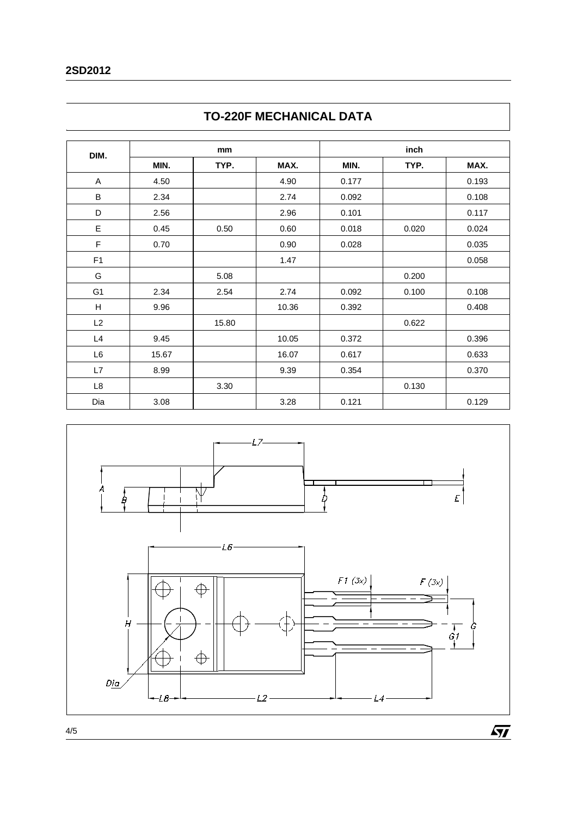## **2SD2012**

|                | mm    |       |       | inch  |       |       |  |
|----------------|-------|-------|-------|-------|-------|-------|--|
| DIM.           | MIN.  | TYP.  | MAX.  | MIN.  | TYP.  | MAX.  |  |
| A              | 4.50  |       | 4.90  | 0.177 |       | 0.193 |  |
| B              | 2.34  |       | 2.74  | 0.092 |       | 0.108 |  |
| D              | 2.56  |       | 2.96  | 0.101 |       | 0.117 |  |
| E              | 0.45  | 0.50  | 0.60  | 0.018 | 0.020 | 0.024 |  |
| F              | 0.70  |       | 0.90  | 0.028 |       | 0.035 |  |
| F <sub>1</sub> |       |       | 1.47  |       |       | 0.058 |  |
| G              |       | 5.08  |       |       | 0.200 |       |  |
| G <sub>1</sub> | 2.34  | 2.54  | 2.74  | 0.092 | 0.100 | 0.108 |  |
| H              | 9.96  |       | 10.36 | 0.392 |       | 0.408 |  |
| L2             |       | 15.80 |       |       | 0.622 |       |  |
| L4             | 9.45  |       | 10.05 | 0.372 |       | 0.396 |  |
| L6             | 15.67 |       | 16.07 | 0.617 |       | 0.633 |  |
| L7             | 8.99  |       | 9.39  | 0.354 |       | 0.370 |  |
| L8             |       | 3.30  |       |       | 0.130 |       |  |
| Dia            | 3.08  |       | 3.28  | 0.121 |       | 0.129 |  |





4/5